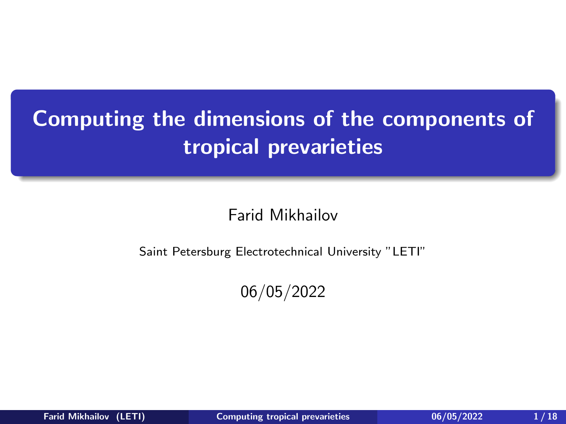# <span id="page-0-0"></span>Computing the dimensions of the components of tropical prevarieties

Farid Mikhailov

Saint Petersburg Electrotechnical University "LETI"

06/05/2022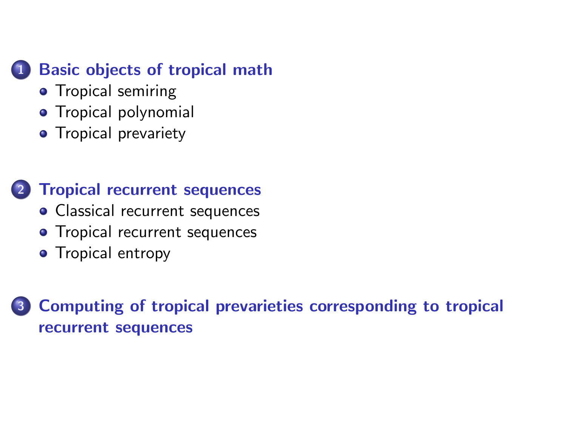## **[Basic objects of tropical math](#page-3-0)**

- **•** [Tropical semiring](#page-3-0)
- **•** [Tropical polynomial](#page-4-0)
- [Tropical prevariety](#page-5-0)

### 2 [Tropical recurrent sequences](#page-9-0)

- [Classical recurrent sequences](#page-9-0)
- [Tropical recurrent sequences](#page-10-0)
- [Tropical entropy](#page-11-0)

## 3 [Computing of tropical prevarieties corresponding to tropical](#page-12-0) [recurrent sequences](#page-12-0)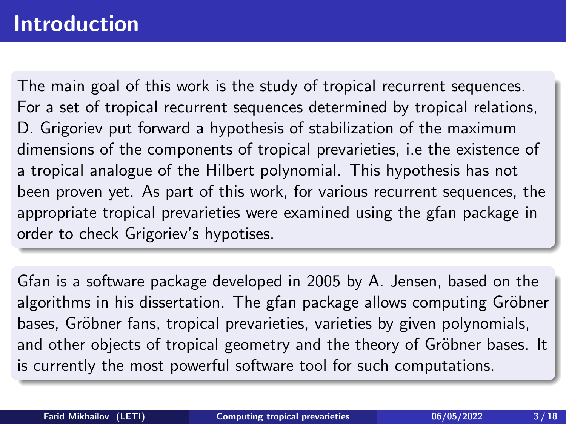## Introduction

The main goal of this work is the study of tropical recurrent sequences. For a set of tropical recurrent sequences determined by tropical relations, D. Grigoriev put forward a hypothesis of stabilization of the maximum dimensions of the components of tropical prevarieties, i.e the existence of a tropical analogue of the Hilbert polynomial. This hypothesis has not been proven yet. As part of this work, for various recurrent sequences, the appropriate tropical prevarieties were examined using the gfan package in order to check Grigoriev's hypotises.

Gfan is a software package developed in 2005 by A. Jensen, based on the algorithms in his dissertation. The gfan package allows computing Gröbner bases, Gröbner fans, tropical prevarieties, varieties by given polynomials, and other objects of tropical geometry and the theory of Gröbner bases. It is currently the most powerful software tool for such computations.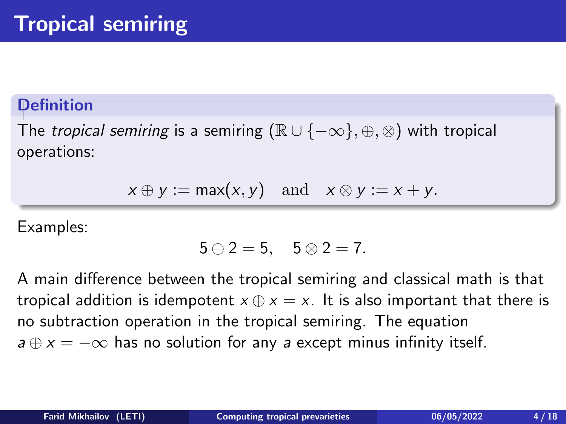<span id="page-3-0"></span>The *tropical semiring* is a semiring  $(\mathbb{R} \cup \{-\infty\}, \oplus, \otimes)$  with tropical operations:

 $x \oplus y := \max(x, y)$  and  $x \otimes y := x + y$ .

Examples:

$$
5 \oplus 2 = 5, \quad 5 \otimes 2 = 7.
$$

A main difference between the tropical semiring and classical math is that tropical addition is idempotent  $x \oplus x = x$ . It is also important that there is no subtraction operation in the tropical semiring. The equation  $a \oplus x = -\infty$  has no solution for any a except minus infinity itself.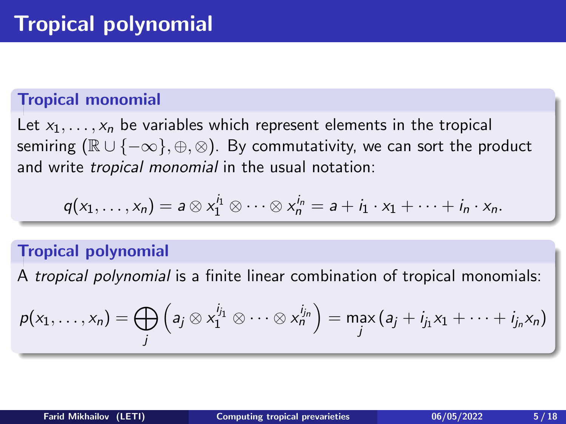## <span id="page-4-0"></span>Tropical monomial

Let  $x_1, \ldots, x_n$  be variables which represent elements in the tropical semiring  $(\mathbb{R} \cup \{-\infty\}, \oplus, \otimes)$ . By commutativity, we can sort the product and write tropical monomial in the usual notation:

$$
q(x_1,\ldots,x_n)=a\otimes x_1^{i_1}\otimes\cdots\otimes x_n^{i_n}=a+i_1\cdot x_1+\cdots+i_n\cdot x_n.
$$

### Tropical polynomial

A tropical polynomial is a finite linear combination of tropical monomials:

$$
p(x_1,\ldots,x_n)=\bigoplus_j \left(a_j\otimes x_1^{i_{j_1}}\otimes\cdots\otimes x_n^{i_{j_n}}\right)=\max_j \left(a_j+i_{j_1}x_1+\cdots+i_{j_n}x_n\right)
$$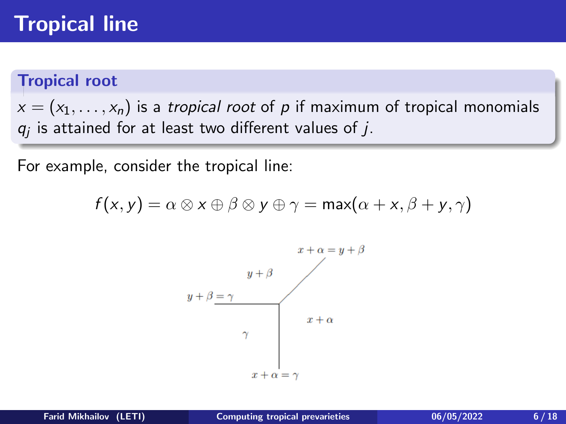## <span id="page-5-0"></span>Tropical line

#### Tropical root

 $x = (x_1, \ldots, x_n)$  is a tropical root of p if maximum of tropical monomials  $q_j$  is attained for at least two different values of  $j$ .

For example, consider the tropical line:

$$
f(x,y) = \alpha \otimes x \oplus \beta \otimes y \oplus \gamma = \max(\alpha + x, \beta + y, \gamma)
$$

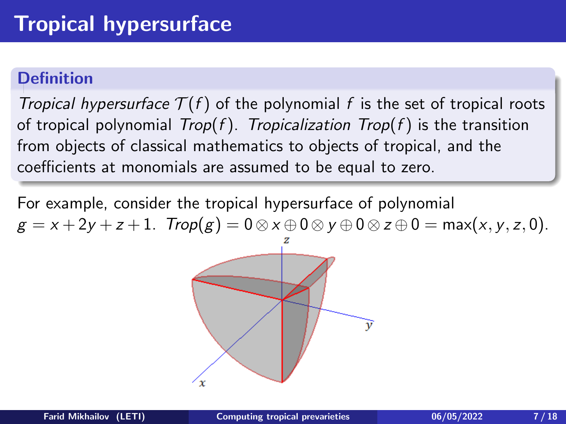Tropical hypersurface  $T(f)$  of the polynomial f is the set of tropical roots of tropical polynomial  $Trop(f)$ . Tropicalization  $Trop(f)$  is the transition from objects of classical mathematics to objects of tropical, and the coefficients at monomials are assumed to be equal to zero.

For example, consider the tropical hypersurface of polynomial  $g = x + 2y + z + 1$ .  $Trop(g) = 0 \otimes x \oplus 0 \otimes y \oplus 0 \otimes z \oplus 0 = max(x, y, z, 0)$ .

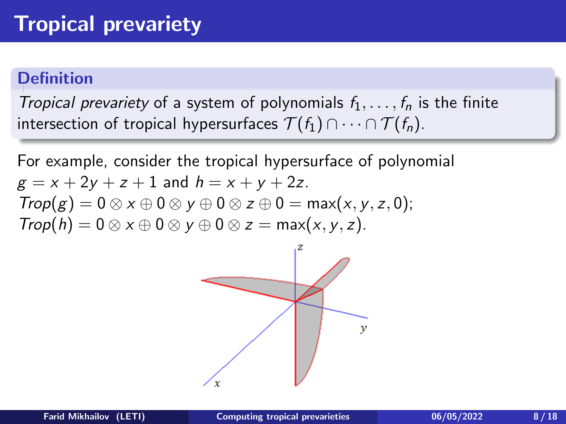Tropical prevariety of a system of polynomials  $f_1, \ldots, f_n$  is the finite intersection of tropical hypersurfaces  $\mathcal{T}(f_1) \cap \cdots \cap \mathcal{T}(f_n)$ .

For example, consider the tropical hypersurface of polynomial  $g = x + 2y + z + 1$  and  $h = x + y + 2z$ .  $Trop(g) = 0 \otimes x \oplus 0 \otimes y \oplus 0 \otimes z \oplus 0 = \max(x, y, z, 0);$  $Trop(h) = 0 \otimes x \oplus 0 \otimes y \oplus 0 \otimes z = max(x, y, z).$ 

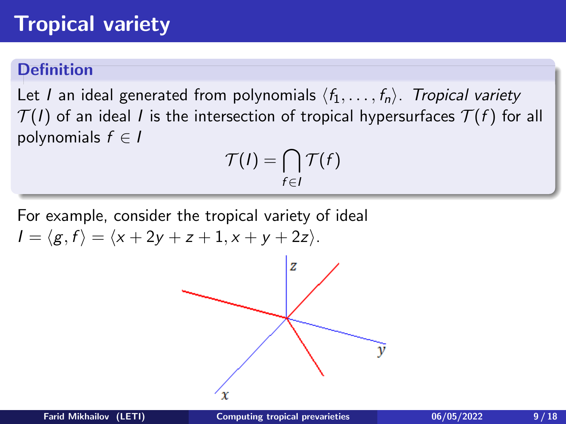## Tropical variety

## **Definition**

Let I an ideal generated from polynomials  $\langle f_1, \ldots, f_n \rangle$ . Tropical variety  $\mathcal{T}(I)$  of an ideal I is the intersection of tropical hypersurfaces  $\mathcal{T}(f)$  for all polynomials  $f \in I$ 

$$
\mathcal{T}(I) = \bigcap_{f \in I} \mathcal{T}(f)
$$

For example, consider the tropical variety of ideal  $I = \langle g, f \rangle = \langle x + 2y + z + 1, x + y + 2z \rangle.$ 

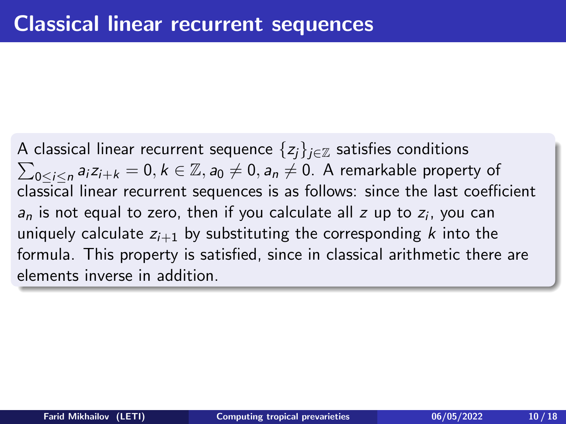<span id="page-9-0"></span> $\sum_{0\leq i\leq n}a_iz_{i+k}=0,$   $k\in\mathbb{Z},$   $a_0\neq 0,$   $a_n\neq 0.$  A remarkable property of A classical linear recurrent sequence  $\{z_i\}_{i\in\mathbb{Z}}$  satisfies conditions classical linear recurrent sequences is as follows: since the last coefficient  $a_n$  is not equal to zero, then if you calculate all  $z$  up to  $z_i$ , you can uniquely calculate  $z_{i+1}$  by substituting the corresponding k into the formula. This property is satisfied, since in classical arithmetic there are elements inverse in addition.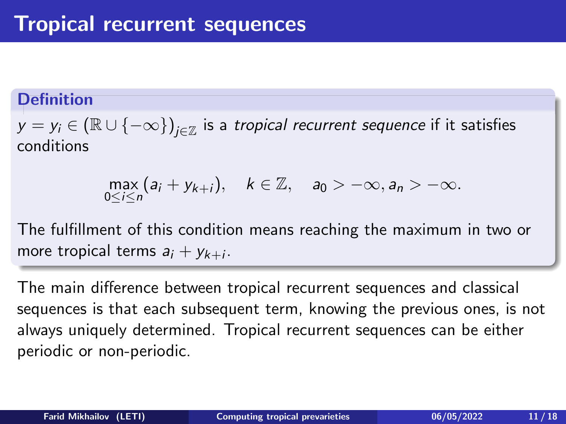<span id="page-10-0"></span> $y=y_i\in (\mathbb{R}\cup\{-\infty\})_{j\in\mathbb{Z}}$  is a *tropical recurrent sequence* if it satisfies conditions

$$
\max_{0\leq i\leq n}(a_i+y_{k+i}), \quad k\in\mathbb{Z}, \quad a_0>-\infty, a_n>-\infty.
$$

The fulfillment of this condition means reaching the maximum in two or more tropical terms  $a_i + y_{k+i}$ .

The main difference between tropical recurrent sequences and classical sequences is that each subsequent term, knowing the previous ones, is not always uniquely determined. Tropical recurrent sequences can be either periodic or non-periodic.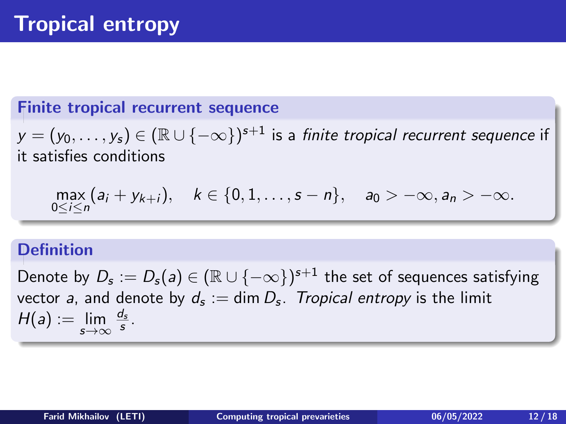#### <span id="page-11-0"></span>Finite tropical recurrent sequence

 $y = (y_0, \ldots, y_s) \in (\mathbb{R} \cup \{-\infty\})^{s+1}$  is a *finite tropical recurrent sequence* if it satisfies conditions

$$
\max_{0 \le i \le n} (a_i + y_{k+i}), \quad k \in \{0, 1, \ldots, s-n\}, \quad a_0 > -\infty, a_n > -\infty.
$$

#### **Definition**

Denote by  $D_{\mathsf{s}} := D_{\mathsf{s}} (\mathsf{a}) \in (\mathbb{R} \cup \{-\infty\})^{\mathsf{s}+1}$  the set of sequences satisfying vector a, and denote by  $d_{\sf s}:=\dim D_{\sf s}.$  Tropical entropy is the limit  $H(a) := \lim_{s \to \infty}$  $\frac{d_s}{s}$  .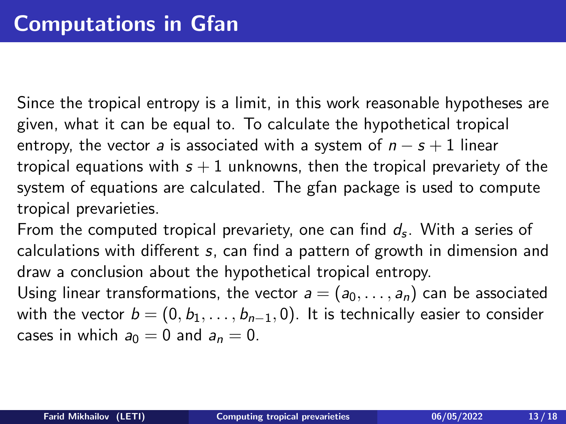<span id="page-12-0"></span>Since the tropical entropy is a limit, in this work reasonable hypotheses are given, what it can be equal to. To calculate the hypothetical tropical entropy, the vector a is associated with a system of  $n - s + 1$  linear tropical equations with  $s + 1$  unknowns, then the tropical prevariety of the system of equations are calculated. The gfan package is used to compute tropical prevarieties.

From the computed tropical prevariety, one can find  $d_{\mathsf{s}}$ . With a series of calculations with different s, can find a pattern of growth in dimension and draw a conclusion about the hypothetical tropical entropy.

Using linear transformations, the vector  $a = (a_0, \ldots, a_n)$  can be associated with the vector  $b = (0, b_1, \ldots, b_{n-1}, 0)$ . It is technically easier to consider cases in which  $a_0 = 0$  and  $a_n = 0$ .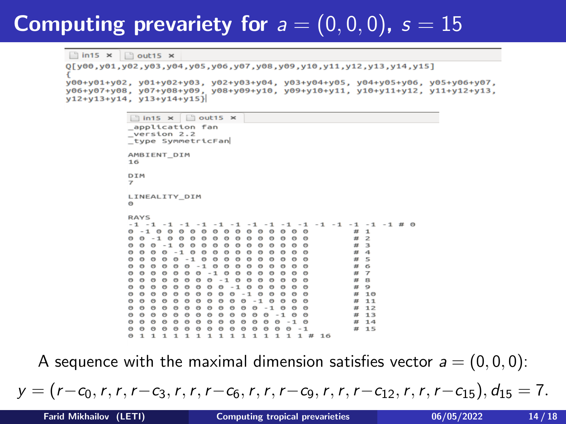## Computing prevariety for  $a = (0, 0, 0)$ ,  $s = 15$

 $\ln 15 \times \ln 15 \times$ 

0[y00.y01.y02.y03.y04.y05.y06.y07.y08.y09.y10.y11.y12.y13.y14.y15] v00+v01+v02, v01+v02+v03, v02+v03+v04, v03+v04+v05, v04+v05+v06, v05+v06+v07, V06+V07+V08, V07+V08+V09, V08+V09+V10, V09+V10+V11, V10+V11+V12, V11+V12+V13,  $v12+v13+v14$ ,  $v13+v14+v15$ }

```
\ln 15 \times \ln 25 \times_application fan
version 2.2
type SymmetricFan
AMBIENT DIM
16DTM
\overline{z}LINEALITY DIM
\ThetaRAYS
-4 - -4-1-1 -1 -1 -1 -1 # 0
                                                                                                Ħ
                                                                                                    \mathbf{1}Ħ
                                                                                                    \overline{\phantom{0}}\bullet\Omega\alpha\sim\Theta\sim\Omega\Theta#3\Theta\sim\sim\Omega\Omega\omega\boldsymbol{\mu}\overline{a}#5\Omega\Omegau
                                                                                                     6
    \Omega\Omega\Omega\boldsymbol{\mu}\mathbf{B}\Omega\circ\Omega# 10# 11\Omega\Omega\Omega\Omega\epsilon# 12\Omega\Omega\Theta\Omega\Omega\Theta\Theta\Omega\Theta\Theta\Theta# 13\Omega\odot\Omega\odot\Omega\Theta\Omega\odot\Omega\Theta\Theta\odot-1 \theta# 140<sub>0</sub>\Omega\OmegaA0000BBBBB-1
                                                                                                # 15\mathbf{1}\mathbf{1}\mathbf{1}1 \quad 1\mathbf{I}\overline{1}\mathbf{1}\overline{1}\mathbf{1}\mathbf{1}1 \text{ } \text{ } 16
```
A sequence with the maximal dimension satisfies vector  $a = (0, 0, 0)$ :

 $y = (r-c_0, r, r, r-c_3, r, r, r-c_6, r, r, r-c_9, r, r, r-c_{12}, r, r, r-c_{15}), d_{15} = 7.$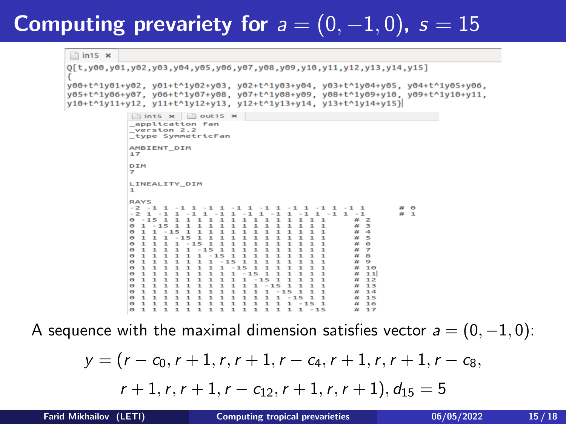## Computing prevariety for  $a = (0, -1, 0)$ ,  $s = 15$

```
\ln 15 \timesQ[t, y00, y01, y02, y03, y04, y05, y06, y07, y08, y09, y10, y11, y12, y13, y14, y15]y00+t^1y01+y02, y01+t^1y02+y03, y02+t^1y03+y04, y03+t^1y04+y05, y04+t^1y05+y06,
y05+t^1y06+y07, y06+t^1y07+y08, y07+t^1y08+y09, y08+t^1y09+y10, y09+t^1y10+y11,
v10+t^1v11+v12. v11+t^1v12+v13. v12+t^1v13+v14. v13+t^1v14+v15}
```

```
\ln 15 \times \ln 15 \timesapplication fan
version 2.2
type SymmetricFan
AMBIENT DIM
17DIM
₹
LINEALITY DIM
h,
RAYS
-2 - 1 1 -1-1 1\overline{u} 1
-2 1 -1 1 -1\mathbf{1}-1-1\mathbf{I}-1-10 - 15\mathbf{1}\mathbf 1\mathbf{1}\overline{1}\mathbf{1}\mathbf{1}\mathbf{I}\mathbf{1}\pi\Rightarrow-1
                                                               \mathbf{1}\boldsymbol{\mathcal{H}}3
െ
                                                                                                          zz.
                                                                                                               \overline{a}ര
                                                                                                          #ച
                                                                                                               \overline{a}\overline{1}\overline{\mathbf{6}}CO
\circ\mathbf{1}#
                                                                                                               \overline{z}\Omega#8
                     \mathbf{1}\mathbf{1}1
                                                          1
                                                                1
\Omegan_{\rm f}\circ\mathbf{1}1
                           \mathbf{I}\mathbf{I}п
                                                          1
                                                                1
                                                                                                              10ര
                                п
                                                                                                          HE
                                                                                                          #
                                                                                                               11ര
\circ1
                                                          -15<sub>1</sub>
                                                                                                          \pm12\circ\mathbf{1}\mathbf{1}\mathbf{1}\mathbf{1}\mathbf{1}-15# 13\circ\mathbf{1}\mathbf{1}\mathbf{1}\mathbf{1}# 14\circ1\quad\mathbf{1}1\quad\mathbf{1}\mathbf{1}\mathbf 1\mathbf{1}\mathbf{1}\mathbf{1}\mathbf{1}\mathbf{1}-151 \; 1# 15
0111111111111
                                                                    \mathbf{1}1 - 15 1
                                                                                                          # 16011\mathbf{1}\mathbf{1}\mathbf{1}1 \quad 1 \quad 1\mathbf{1}\mathbf{I}\mathbf{1}\mathbf{1}\mathbf{1}11 - 15# 17
```
A sequence with the maximal dimension satisfies vector  $a = (0, -1, 0)$ :

$$
y = (r - c_0, r + 1, r, r + 1, r - c_4, r + 1, r, r + 1, r - c_8,r + 1, r, r + 1, r - c_{12}, r + 1, r, r + 1), d_{15} = 5
$$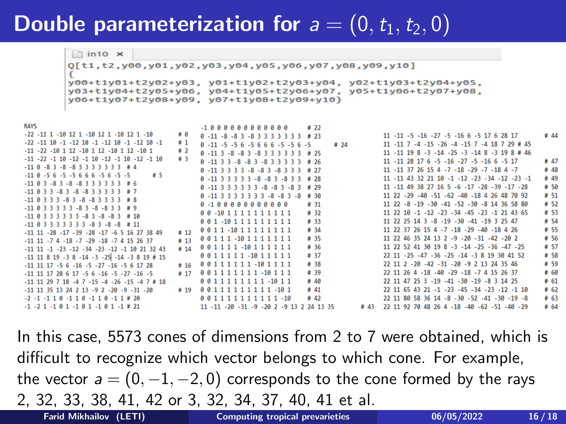## **Double parameterization for**  $a = (0, t_1, t_2, 0)$

 $\ln 10 \times$ 

 $0[t1,t2,y00,y01,y02,y03,y04,y05,y06,y07,y08,y09,y10]$ v00+t1v01+t2v02+v03. v01+t1v02+t2v03+v04. v02+t1v03+t2v04+v05. y03+t1y04+t2y05+y06, y04+t1y05+t2y06+y07, y05+t1y06+t2y07+y08, y06+t1y07+t2y08+y09, y07+t1y08+t2y09+y10}

**RAVC** 

|                                                                       |      | -1 0 0 0 0 0 0 0 0 0 0 0 0                   |      |                                                                   |      |
|-----------------------------------------------------------------------|------|----------------------------------------------|------|-------------------------------------------------------------------|------|
| $-22$ $-11$ 1 $-10$ 12 1 $-10$ 12 1 $-10$ 12 1 $-10$                  | # 0  | $0 - 11 - 8 - 8$ 3 - 8 3 3 3 3 3 3 3 $\#$ 23 |      | 11 -11 -5 -16 -27 -5 -16 6 -5 17 6 28 17                          | #44  |
| $-22$ $-11$ 10 $-1$ $-12$ 10 $-1$ $-12$ 10 $-1$ $-12$ 10 $-1$         | #1   | $0 - 11 - 5 - 56 - 5666 - 5 - 56 - 5$        | # 24 | 11 -11 7 -4 -15 -26 -4 -15 7 -4 18 7 29 # 45                      |      |
| $-11$ $-22$ $-10$ 1 12 $-10$ 1 12 $-10$ 1 12 $-10$ 1                  | #2   | $0 - 11$ 3 - 8 - 8 3 - 8 3 3 3 3 3 3 # 25    |      | 11 -11 19 8 -3 -14 -25 -3 -14 8 -3 19 8 # 46                      |      |
| $-11$ $-22$ $-1$ $10$ $-12$ $-1$ $10$ $-12$ $-1$ $10$ $-12$ $-1$ $10$ | #3   | $0 - 11$ 3 3 - 8 - 8 3 - 8 3 3 3 3 3 # 26    |      | $11 - 11$ $28$ $17$ $6$ $-5$ $-16$ $-27$ $-5$ $-16$ $6$ $-5$ $17$ | # 47 |
| $-11$ $0$ $-8$ $3$ $-8$ $-8$ $3$ $3$ $3$ $3$ $3$ $3$ $3$ $3$ $4$ $4$  |      | $0 - 11$ 3 3 3 3 - 8 - 8 3 - 8 3 3 3 # 27    |      | 11 -11 37 26 15 4 -7 -18 -29 -7 -18 4 -7                          | # 48 |
| $-11$ $0$ $-5$ $6$ $-5$ $-5$ $6$ $6$ $6$ $-5$ $6$ $-5$ $-5$<br># 5    |      | $0 - 11$ 3 3 3 3 3 - 8 - 8 3 - 8 3 3 # 28    |      | 11 -11 43 32 21 10 -1 -12 -23 -34 -12 -23 -1                      | #49  |
| $-11$ 8 3 -8 3 -8 -8 3 3 3 3 3 3 $\#$ 6                               |      | $0 - 11$ 3 3 3 3 3 3 - 8 - 8 3 - 8 3 # 29    |      | 11 -11 49 38 27 16 5 -6 -17 -28 -39 -17 -28                       | #50  |
| $-11$ 0 3 3 -8 3 -8 -8 3 3 3 3 3 # 7                                  |      | $0 - 11$ 3 3 3 3 3 3 3 - 8 - 8 3 - 8 # 30    |      | 11 22 -29 -40 -51 -62 -40 -18 4 26 48 70 92                       | # 51 |
| $-11$ 0 3 3 3 -8 3 -8 -8 3 3 3 3 # 8                                  |      |                                              |      |                                                                   |      |
| $-11$ $0$ 3 3 3 3 3 - 8 3 - 8 - 8 3 3 # 9                             |      |                                              | # 31 | 11 22 -8 -19 -30 -41 -52 -30 -8 14 36 58 80                       | # 52 |
| $-11$ $0$ $3$ $3$ $3$ $3$ $3$ $3$ $-8$ $3$ $-8$ $-8$ $3$ $\#$ $10$    |      | 00-1011111111111                             | # 32 | 11 22 10 -1 -12 -23 -34 -45 -23 -1 21 43 65                       | # 53 |
| $-11$ 0 3 3 3 3 3 3 3 -8 3 -8 -8 # 11                                 |      | 001-101111111111                             | # 33 | 11 22 25 14 3 -8 -19 -30 -41 -19 3 25 47                          | #54  |
| $-11$ 11 $-28$ $-17$ $-39$ $-28$ $-17$ $-6$ 5 16 27 38 49             | # 12 | 0011-10111111111                             | # 34 | 11 22 37 26 15 4 -7 -18 -29 -40 -18 4 26                          | # 55 |
| $-11$ 11 $-7$ 4 $-18$ $-7$ $-29$ $-18$ $-7$ 4 15 26 37                | # 13 | 00111-1011111111                             | # 35 | 11 22 46 35 24 13 2 -9 -20 -31 -42 -20 2                          | # 56 |
| $-11$ 11 $-1$ $-23$ $-12$ $-34$ $-23$ $-12$ $-1$ 10 21 32 43          | # 14 | 001111-10111111                              | # 36 | 11 22 52 41 30 19 8 -3 -14 -25 -36 -47 -25                        | # 57 |
| $-11$ 11 8 19 -3 8 -14 -3 -25 -14 -3 8 19 # 15                        |      | 0011111-1011111                              | # 37 | 22 11 -25 -47 -36 -25 -14 -3 8 19 30 41 52                        | #58  |
|                                                                       | #16  | 00111111-101111                              | # 38 | 22 11 2 -20 -42 -31 -20 -9 2 13 24 35 46                          | # 59 |
| $-11$ 11 17 $-5$ 6 $-16$ $-5$ $-27$ $-16$ $-5$ 6 17 28                |      |                                              |      |                                                                   |      |
| $-11$ 11 17 28 6 17 -5 6 -16 -5 -27 -16 -5                            | # 17 | 001111111-10111                              | # 39 | 22 11 26 4 -18 -40 -29 -18 -7 4 15 26 37                          | # 60 |
| $-11$ 11 29 7 18 -4 7 -15 -4 -26 -15 -4 7 # 18                        |      | 0011111111-1011                              | #40  | 22 11 47 25 3 -19 -41 -30 -19 -8 3 14 25                          | # 61 |
| $-11$ 11 35 13 24 2 13 -9 2 -20 -9 -31 -20                            |      |                                              | # 41 | 22 11 65 43 21 -1 -23 -45 -34 -23 -12 -1 10                       | # 62 |
| $-2$ $-1$ $-1$ 1 0 $-1$ 1 0 $-1$ 1 0 $-1$ 1 # 20                      |      | 001111111111-10                              | # 42 | 22 11 80 58 36 14 -8 -30 -52 -41 -30 -19 -8                       | # 63 |
| $-1$ $-2$ 1 $-1$ 0 1 $-1$ 0 1 $-1$ 0 1 $-1$ # 21                      |      | 11 -11 -20 -31 -9 -20 2 -9 13 2 24 13 35     |      | # 43 22 11 92 70 48 26 4 -18 -40 -62 -51 -40 -29                  | #64  |
|                                                                       |      |                                              |      |                                                                   |      |

 $4.22$ 

In this case, 5573 cones of dimensions from 2 to 7 were obtained, which is difficult to recognize which vector belongs to which cone. For example, the vector  $a = (0, -1, -2, 0)$  corresponds to the cone formed by the rays 2, 32, 33, 38, 41, 42 or 3, 32, 34, 37, 40, 41 et al.

Farid Mikhailov (LETI) [Computing tropical prevarieties](#page-0-0) 06/05/2022 16/18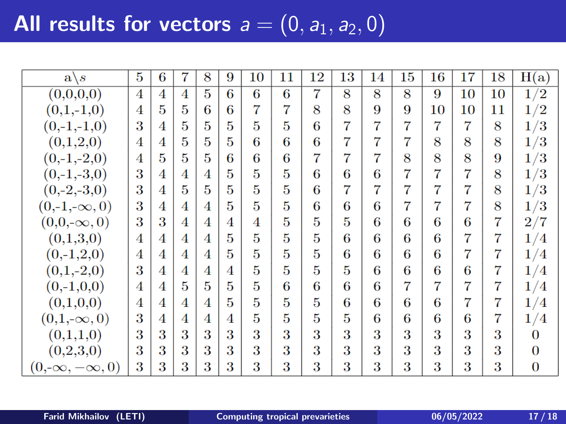# All results for vectors  $a = (0, a_1, a_2, 0)$

| $a \backslash s$        | 5              | 6 | 7 | 8 | 9 | 10             | 11 | 12 | 13             | 14 | 15 | 16 | 17             | 18 | H(a)           |
|-------------------------|----------------|---|---|---|---|----------------|----|----|----------------|----|----|----|----------------|----|----------------|
| (0,0,0,0)               | $\overline{4}$ | 4 | 4 | 5 | 6 | 6              | 6  | 7  | 8              | 8  | 8  | 9  | 10             | 10 | 1/2            |
| $(0,1,-1,0)$            | 4              | 5 | 5 | 6 | 6 | 7              | 7  | 8  | 8              | 9  | 9  | 10 | 10             | 11 | 1/2            |
| $(0,-1,-1,0)$           | 3              | 4 | 5 | 5 | 5 | 5              | 5  | 6  | 7              | 7  | 7  | 7  | 7              | 8  | 1/3            |
| (0,1,2,0)               | 4              | 4 | 5 | 5 | 5 | 6              | 6  | 6  | 7              | 7  | 7  | 8  | 8              | 8  | 1/3            |
| $(0,-1,-2,0)$           | 4              | 5 | 5 | 5 | 6 | 6              | 6  | 7  | $\overline{7}$ | 7  | 8  | 8  | 8              | 9  | 1/3            |
| $(0,-1,-3,0)$           | 3              | 4 | 4 | 4 | 5 | 5              | 5  | 6  | 6              | 6  | 7  | 7  | 7              | 8  | 1/3            |
| $(0,-2,-3,0)$           | 3              | 4 | 5 | 5 | 5 | 5              | 5  | 6  | 7              | 7  | 7  | 7  | 7              | 8  | 1/3            |
| $(0,-1,-\infty,0)$      | 3              | 4 | 4 | 4 | 5 | 5              | 5  | 6  | 6              | 6  | 7  | 7  | 7              | 8  | 1/3            |
| $(0,0,-\infty,0)$       | 3              | 3 | 4 | 4 | 4 | $\overline{4}$ | 5  | 5  | 5              | 6  | 6  | 6  | 6              | 7  | 2/7            |
| (0,1,3,0)               | 4              | 4 | 4 | 4 | 5 | 5              | 5  | 5  | 6              | 6  | 6  | 6  | 7              | 7  | 1/4            |
| $(0,-1,2,0)$            | 4              | 4 | 4 | 4 | 5 | 5              | 5  | 5  | 6              | 6  | 6  | 6  | $\overline{7}$ | 7  | 1/4            |
| $(0,1,-2,0)$            | 3              | 4 | 4 | 4 | 4 | 5              | 5  | 5  | 5              | 6  | 6  | 6  | 6              | 7  | 1/4            |
| $(0,-1,0,0)$            | 4              | 4 | 5 | 5 | 5 | 5              | 6  | 6  | 6              | 6  | 7  | 7  | $\overline{7}$ | 7  | 1/4            |
| (0,1,0,0)               | 4              | 4 | 4 | 4 | 5 | 5              | 5  | 5  | 6              | 6  | 6  | 6  | $\overline{7}$ | 7  | 1/4            |
| $(0,1,-\infty,0)$       | 3              | 4 | 4 | 4 | 4 | 5              | 5  | 5  | 5              | 6  | 6  | 6  | 6              | 7  | 1/4            |
| (0,1,1,0)               | 3              | 3 | 3 | 3 | 3 | 3              | 3  | 3  | 3              | 3  | 3  | 3  | 3              | 3  | 0              |
| (0,2,3,0)               | 3              | 3 | 3 | 3 | 3 | 3              | 3  | 3  | 3              | 3  | 3  | 3  | 3              | 3  | $\Omega$       |
| $(0,-\infty,-\infty,0)$ | 3              | 3 | 3 | 3 | 3 | 3              | 3  | 3  | 3              | 3  | 3  | 3  | 3              | 3  | $\overline{0}$ |